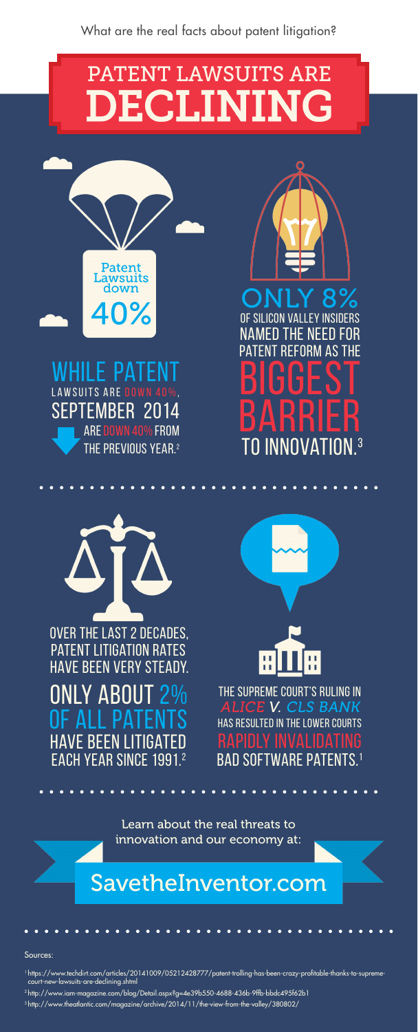# PATENT LAWSUITS ARE DECLINING



Sources:

- 1 https://www.techdirt.com/articles/20141009/05212428777/patent-trolling-has-been-crazy-profitable-thanks-to-supremecourt-new-lawsuits-are-declining.shtml
- 2 http://www.iam-magazine.com/blog/Detail.aspx?g=4e39b550-4688-436b-9ffb-bbdc495f62b1
- 3 http://www.theatlantic.com/magazine/archive/2014/11/the-view-from-the-valley/380802/

While Patent  $\overline{\text{S}$  are down 40%. September 2014 are down 40% from THE PREVIOUS YEAR.<sup>2</sup>



#### SavetheInventor.com

Learn about the real threats to innovation and our economy at:

## ONLY 8%

ONLY ABOU<br>OF ALL PAT of all patents **HAVE BEEN LITIGAT** each year since 1991.2



of Silicon Valley insiders  $HF$  NFFII FOR **REFORM AS THE BIGGEST** BARRIER to innovation.3





The Supreme Court's ruling in ALICE V. CLS BANK has resulted in the lower courts RAPIDLY INVALIDA bad software patents.1

Over the last 2 decades, patent litigation rates have been very steady.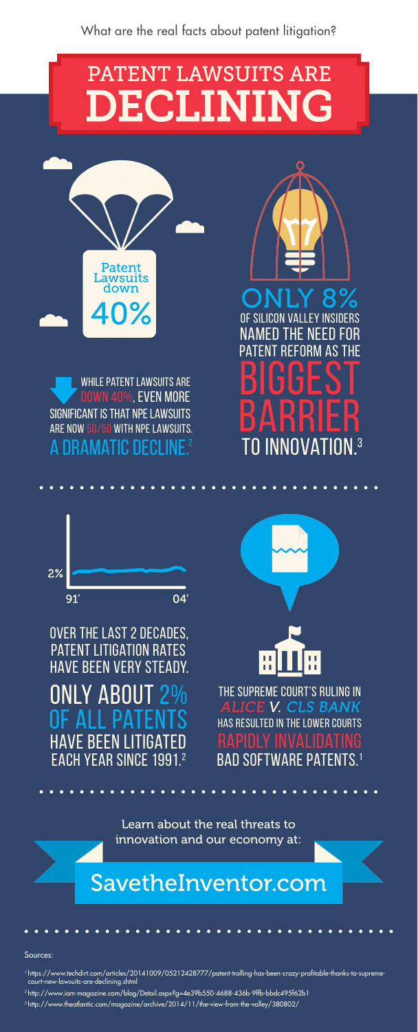Sources:

- 1 https://www.techdirt.com/articles/20141009/05212428777/patent-trolling-has-been-crazy-profitable-thanks-to-supremecourt-new-lawsuits-are-declining.shtml
- 2 http://www.iam-magazine.com/blog/Detail.aspx?g=4e39b550-4688-436b-9ffb-bbdc495f62b1
- 3 http://www.theatlantic.com/magazine/archive/2014/11/the-view-from-the-valley/380802/

**OF SII** named the need for **REFORM AS THE BIGGEST** BARRIER to innovation.3





# **PATENT LAWSUITS ARE** DECLINING

**Patent**<br>Lawsuits down 40%

#### SavetheInventor.com

ONLY ABOU of all patents **HAVE BEEN LITIGAT** each year since 1991.2

While patent lawsuits are down 40%, even more significant is that NPE lawsuits are now 50/50 with NPE lawsuits. A DRAMATIC DECLINE.<sup>2</sup>





Learn about the real threats to innovation and our economy at:

## ONLY 8%

The Supreme Court's ruling in ALICE V. CLS BANK has resulted in the lower courts RAPIDLY INVALIDA bad software patents.1

Over the last 2 decades, patent litigation rates have been very steady.